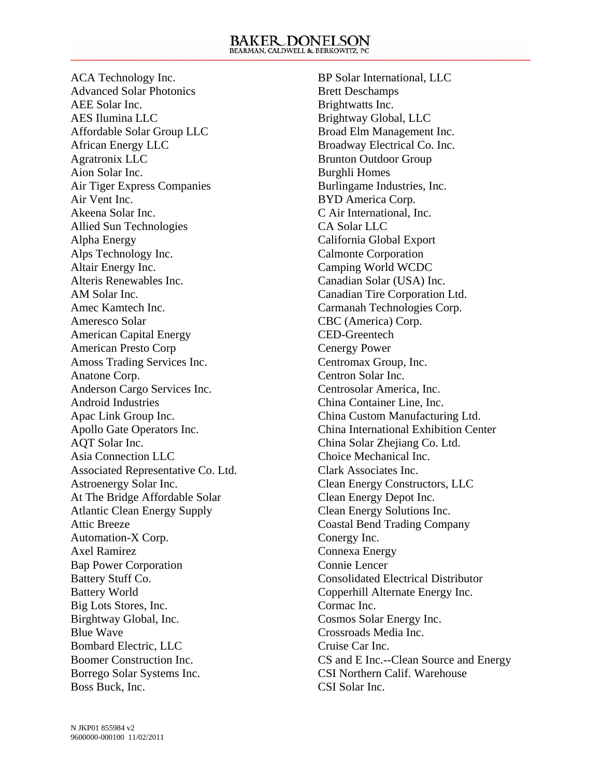ACA Technology Inc. Advanced Solar Photonics AEE Solar Inc. AES Ilumina LLC Affordable Solar Group LLC African Energy LLC Agratronix LLC Aion Solar Inc. Air Tiger Express Companies Air Vent Inc. Akeena Solar Inc. Allied Sun Technologies Alpha Energy Alps Technology Inc. Altair Energy Inc. Alteris Renewables Inc. AM Solar Inc. Amec Kamtech Inc. Ameresco Solar American Capital Energy American Presto Corp Amoss Trading Services Inc. Anatone Corp. Anderson Cargo Services Inc. Android Industries Apac Link Group Inc. Apollo Gate Operators Inc. AQT Solar Inc. Asia Connection LLC Associated Representative Co. Ltd. Astroenergy Solar Inc. At The Bridge Affordable Solar Atlantic Clean Energy Supply Attic Breeze Automation-X Corp. Axel Ramirez Bap Power Corporation Battery Stuff Co. Battery World Big Lots Stores, Inc. Birghtway Global, Inc. Blue Wave Bombard Electric, LLC Boomer Construction Inc. Borrego Solar Systems Inc. Boss Buck, Inc.

BP Solar International, LLC Brett Deschamps Brightwatts Inc. Brightway Global, LLC Broad Elm Management Inc. Broadway Electrical Co. Inc. Brunton Outdoor Group Burghli Homes Burlingame Industries, Inc. BYD America Corp. C Air International, Inc. CA Solar LLC California Global Export Calmonte Corporation Camping World WCDC Canadian Solar (USA) Inc. Canadian Tire Corporation Ltd. Carmanah Technologies Corp. CBC (America) Corp. CED-Greentech Cenergy Power Centromax Group, Inc. Centron Solar Inc. Centrosolar America, Inc. China Container Line, Inc. China Custom Manufacturing Ltd. China International Exhibition Center China Solar Zhejiang Co. Ltd. Choice Mechanical Inc. Clark Associates Inc. Clean Energy Constructors, LLC Clean Energy Depot Inc. Clean Energy Solutions Inc. Coastal Bend Trading Company Conergy Inc. Connexa Energy Connie Lencer Consolidated Electrical Distributor Copperhill Alternate Energy Inc. Cormac Inc. Cosmos Solar Energy Inc. Crossroads Media Inc. Cruise Car Inc. CS and E Inc.--Clean Source and Energy CSI Northern Calif. Warehouse CSI Solar Inc.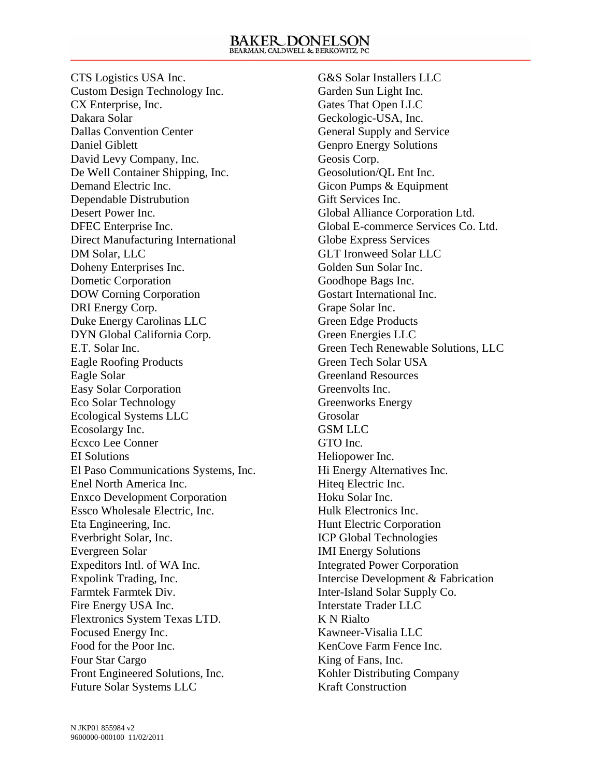CTS Logistics USA Inc. Custom Design Technology Inc. CX Enterprise, Inc. Dakara Solar Dallas Convention Center Daniel Giblett David Levy Company, Inc. De Well Container Shipping, Inc. Demand Electric Inc. Dependable Distrubution Desert Power Inc. DFEC Enterprise Inc. Direct Manufacturing International DM Solar, LLC Doheny Enterprises Inc. Dometic Corporation DOW Corning Corporation DRI Energy Corp. Duke Energy Carolinas LLC DYN Global California Corp. E.T. Solar Inc. Eagle Roofing Products Eagle Solar Easy Solar Corporation Eco Solar Technology Ecological Systems LLC Ecosolargy Inc. Ecxco Lee Conner EI Solutions El Paso Communications Systems, Inc. Enel North America Inc. Enxco Development Corporation Essco Wholesale Electric, Inc. Eta Engineering, Inc. Everbright Solar, Inc. Evergreen Solar Expeditors Intl. of WA Inc. Expolink Trading, Inc. Farmtek Farmtek Div. Fire Energy USA Inc. Flextronics System Texas LTD. Focused Energy Inc. Food for the Poor Inc. Four Star Cargo Front Engineered Solutions, Inc. Future Solar Systems LLC

G&S Solar Installers LLC Garden Sun Light Inc. Gates That Open LLC Geckologic-USA, Inc. General Supply and Service Genpro Energy Solutions Geosis Corp. Geosolution/QL Ent Inc. Gicon Pumps & Equipment Gift Services Inc. Global Alliance Corporation Ltd. Global E-commerce Services Co. Ltd. Globe Express Services GLT Ironweed Solar LLC Golden Sun Solar Inc. Goodhope Bags Inc. Gostart International Inc. Grape Solar Inc. Green Edge Products Green Energies LLC Green Tech Renewable Solutions, LLC Green Tech Solar USA Greenland Resources Greenvolts Inc. Greenworks Energy Grosolar GSM LLC GTO Inc. Heliopower Inc. Hi Energy Alternatives Inc. Hiteq Electric Inc. Hoku Solar Inc. Hulk Electronics Inc. Hunt Electric Corporation ICP Global Technologies IMI Energy Solutions Integrated Power Corporation Intercise Development & Fabrication Inter-Island Solar Supply Co. Interstate Trader LLC K N Rialto Kawneer-Visalia LLC KenCove Farm Fence Inc. King of Fans, Inc. Kohler Distributing Company Kraft Construction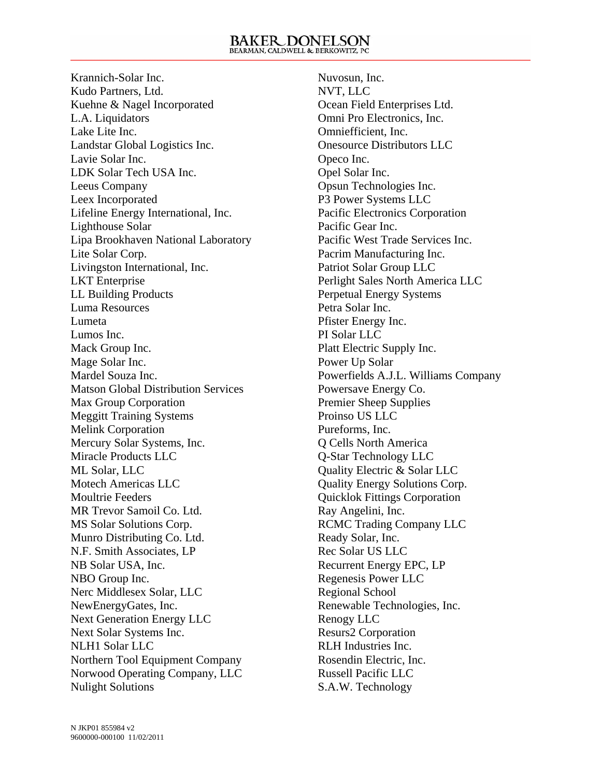Krannich-Solar Inc. Kudo Partners, Ltd. Kuehne & Nagel Incorporated L.A. Liquidators Lake Lite Inc. Landstar Global Logistics Inc. Lavie Solar Inc. LDK Solar Tech USA Inc. Leeus Company Leex Incorporated Lifeline Energy International, Inc. Lighthouse Solar Lipa Brookhaven National Laboratory Lite Solar Corp. Livingston International, Inc. LKT Enterprise LL Building Products Luma Resources Lumeta Lumos Inc. Mack Group Inc. Mage Solar Inc. Mardel Souza Inc. Matson Global Distribution Services Max Group Corporation Meggitt Training Systems Melink Corporation Mercury Solar Systems, Inc. Miracle Products LLC ML Solar, LLC Motech Americas LLC Moultrie Feeders MR Trevor Samoil Co. Ltd. MS Solar Solutions Corp. Munro Distributing Co. Ltd. N.F. Smith Associates, LP NB Solar USA, Inc. NBO Group Inc. Nerc Middlesex Solar, LLC NewEnergyGates, Inc. Next Generation Energy LLC Next Solar Systems Inc. NLH1 Solar LLC Northern Tool Equipment Company Norwood Operating Company, LLC Nulight Solutions

Nuvosun, Inc. NVT, LLC Ocean Field Enterprises Ltd. Omni Pro Electronics, Inc. Omniefficient, Inc. Onesource Distributors LLC Opeco Inc. Opel Solar Inc. Opsun Technologies Inc. P3 Power Systems LLC Pacific Electronics Corporation Pacific Gear Inc. Pacific West Trade Services Inc. Pacrim Manufacturing Inc. Patriot Solar Group LLC Perlight Sales North America LLC Perpetual Energy Systems Petra Solar Inc. Pfister Energy Inc. PI Solar LLC Platt Electric Supply Inc. Power Up Solar Powerfields A.J.L. Williams Company Powersave Energy Co. Premier Sheep Supplies Proinso US LLC Pureforms, Inc. Q Cells North America Q-Star Technology LLC Quality Electric & Solar LLC Quality Energy Solutions Corp. Quicklok Fittings Corporation Ray Angelini, Inc. RCMC Trading Company LLC Ready Solar, Inc. Rec Solar US LLC Recurrent Energy EPC, LP Regenesis Power LLC Regional School Renewable Technologies, Inc. Renogy LLC Resurs2 Corporation RLH Industries Inc. Rosendin Electric, Inc. Russell Pacific LLC S.A.W. Technology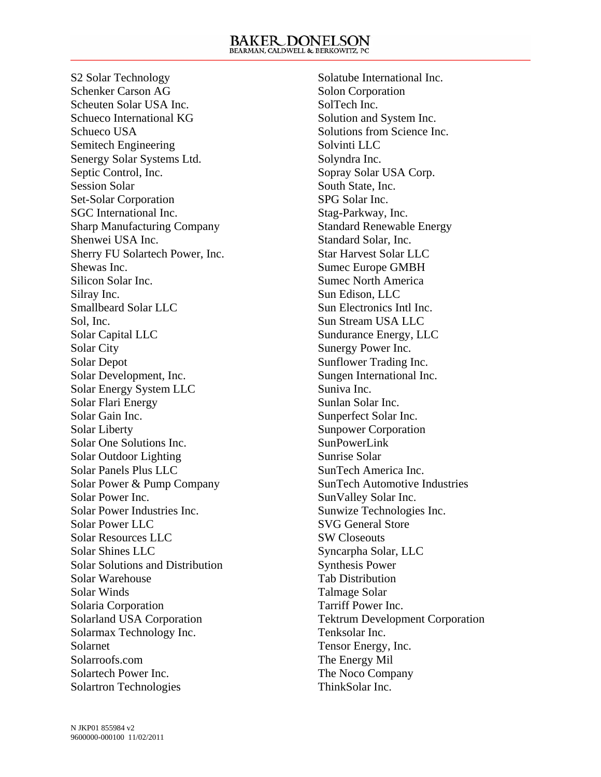S2 Solar Technology Schenker Carson AG Scheuten Solar USA Inc. Schueco International KG Schueco USA Semitech Engineering Senergy Solar Systems Ltd. Septic Control, Inc. Session Solar Set-Solar Corporation SGC International Inc. Sharp Manufacturing Company Shenwei USA Inc. Sherry FU Solartech Power, Inc. Shewas Inc. Silicon Solar Inc. Silray Inc. Smallbeard Solar LLC Sol, Inc. Solar Capital LLC Solar City Solar Depot Solar Development, Inc. Solar Energy System LLC Solar Flari Energy Solar Gain Inc. Solar Liberty Solar One Solutions Inc. Solar Outdoor Lighting Solar Panels Plus LLC Solar Power & Pump Company Solar Power Inc. Solar Power Industries Inc. Solar Power LLC Solar Resources LLC Solar Shines LLC Solar Solutions and Distribution Solar Warehouse Solar Winds Solaria Corporation Solarland USA Corporation Solarmax Technology Inc. Solarnet Solarroofs.com Solartech Power Inc. Solartron Technologies

Solatube International Inc. Solon Corporation SolTech Inc. Solution and System Inc. Solutions from Science Inc. Solvinti LLC Solyndra Inc. Sopray Solar USA Corp. South State, Inc. SPG Solar Inc. Stag-Parkway, Inc. Standard Renewable Energy Standard Solar, Inc. Star Harvest Solar LLC Sumec Europe GMBH Sumec North America Sun Edison, LLC Sun Electronics Intl Inc. Sun Stream USA LLC Sundurance Energy, LLC Sunergy Power Inc. Sunflower Trading Inc. Sungen International Inc. Suniva Inc. Sunlan Solar Inc. Sunperfect Solar Inc. Sunpower Corporation SunPowerLink Sunrise Solar SunTech America Inc. SunTech Automotive Industries SunValley Solar Inc. Sunwize Technologies Inc. SVG General Store SW Closeouts Syncarpha Solar, LLC Synthesis Power Tab Distribution Talmage Solar Tarriff Power Inc. Tektrum Development Corporation Tenksolar Inc. Tensor Energy, Inc. The Energy Mil The Noco Company ThinkSolar Inc.